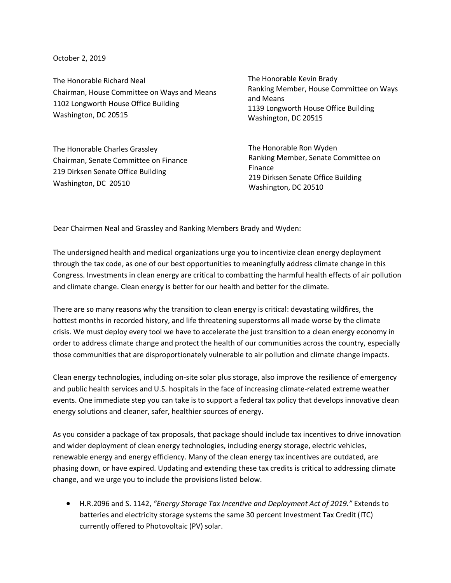October 2, 2019

The Honorable Richard Neal Chairman, House Committee on Ways and Means 1102 Longworth House Office Building Washington, DC 20515

The Honorable Charles Grassley Chairman, Senate Committee on Finance 219 Dirksen Senate Office Building Washington, DC 20510

The Honorable Kevin Brady Ranking Member, House Committee on Ways and Means 1139 Longworth House Office Building Washington, DC 20515

The Honorable Ron Wyden Ranking Member, Senate Committee on Finance 219 Dirksen Senate Office Building Washington, DC 20510

Dear Chairmen Neal and Grassley and Ranking Members Brady and Wyden:

The undersigned health and medical organizations urge you to incentivize clean energy deployment through the tax code, as one of our best opportunities to meaningfully address climate change in this Congress. Investments in clean energy are critical to combatting the harmful health effects of air pollution and climate change. Clean energy is better for our health and better for the climate.

There are so many reasons why the transition to clean energy is critical: devastating wildfires, the hottest months in recorded history, and life threatening superstorms all made worse by the climate crisis. We must deploy every tool we have to accelerate the just transition to a clean energy economy in order to address climate change and protect the health of our communities across the country, especially those communities that are disproportionately vulnerable to air pollution and climate change impacts.

Clean energy technologies, including on-site solar plus storage, also improve the resilience of emergency and public health services and U.S. hospitals in the face of increasing climate-related extreme weather events. One immediate step you can take is to support a federal tax policy that develops innovative clean energy solutions and cleaner, safer, healthier sources of energy.

As you consider a package of tax proposals, that package should include tax incentives to drive innovation and wider deployment of clean energy technologies, including energy storage, electric vehicles, renewable energy and energy efficiency. Many of the clean energy tax incentives are outdated, are phasing down, or have expired. Updating and extending these tax credits is critical to addressing climate change, and we urge you to include the provisions listed below.

• H.R.2096 and S. 1142, *"Energy Storage Tax Incentive and Deployment Act of 2019."* Extends to batteries and electricity storage systems the same 30 percent Investment Tax Credit (ITC) currently offered to Photovoltaic (PV) solar.